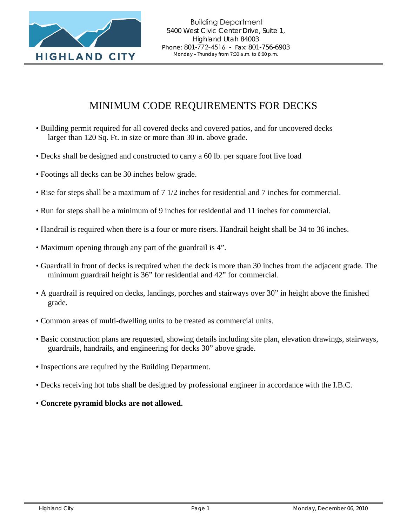

## MINIMUM CODE REQUIREMENTS FOR DECKS

- Building permit required for all covered decks and covered patios, and for uncovered decks larger than 120 Sq. Ft. in size or more than 30 in. above grade.
- Decks shall be designed and constructed to carry a 60 lb. per square foot live load
- Footings all decks can be 30 inches below grade.
- Rise for steps shall be a maximum of 7 1/2 inches for residential and 7 inches for commercial.
- Run for steps shall be a minimum of 9 inches for residential and 11 inches for commercial.
- Handrail is required when there is a four or more risers. Handrail height shall be 34 to 36 inches.
- Maximum opening through any part of the guardrail is 4".
- Guardrail in front of decks is required when the deck is more than 30 inches from the adjacent grade. The minimum guardrail height is 36" for residential and 42" for commercial.
- A guardrail is required on decks, landings, porches and stairways over 30" in height above the finished grade.
- Common areas of multi-dwelling units to be treated as commercial units.
- Basic construction plans are requested, showing details including site plan, elevation drawings, stairways, guardrails, handrails, and engineering for decks 30" above grade.
- **•** Inspections are required by the Building Department.
- Decks receiving hot tubs shall be designed by professional engineer in accordance with the I.B.C.
- **Concrete pyramid blocks are not allowed.**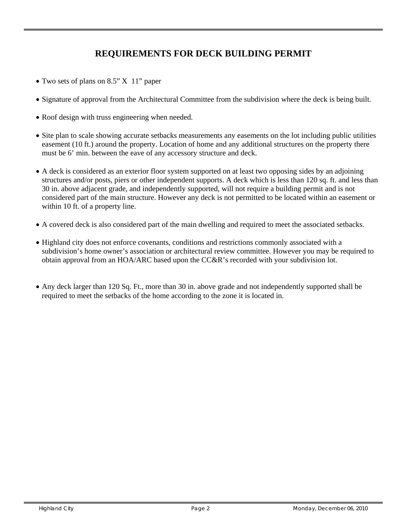## **REQUIREMENTS FOR DECK BUILDING PERMIT**

- Two sets of plans on 8.5" X 11" paper
- Signature of approval from the Architectural Committee from the subdivision where the deck is being built.
- Roof design with truss engineering when needed.
- Site plan to scale showing accurate setbacks measurements any easements on the lot including public utilities easement (10 ft.) around the property. Location of home and any additional structures on the property there must be 6' min. between the eave of any accessory structure and deck.
- A deck is considered as an exterior floor system supported on at least two opposing sides by an adjoining structures and/or posts, piers or other independent supports. A deck which is less than 120 sq. ft. and less than 30 in. above adjacent grade, and independently supported, will not require a building permit and is not considered part of the main structure. However any deck is not permitted to be located within an easement or within 10 ft. of a property line.
- A covered deck is also considered part of the main dwelling and required to meet the associated setbacks.
- Highland city does not enforce covenants, conditions and restrictions commonly associated with a subdivision's home owner's association or architectural review committee. However you may be required to obtain approval from an HOA/ARC based upon the CC&R's recorded with your subdivision lot.
- Any deck larger than 120 Sq. Ft., more than 30 in. above grade and not independently supported shall be required to meet the setbacks of the home according to the zone it is located in.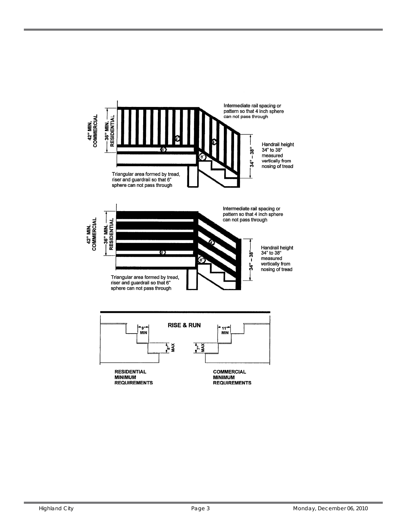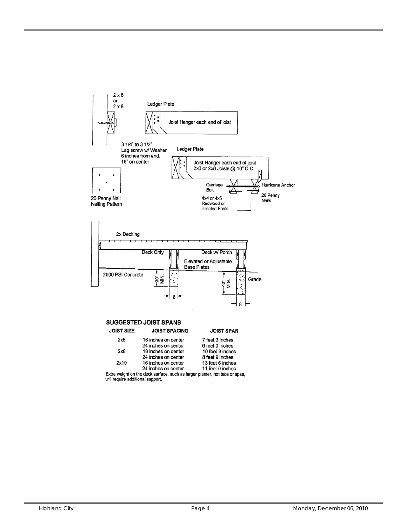

 $2x8$ 16 inches on center 10 feet 9 inches 8 feet 9 inches 24 inches on center 2x10 16 inches on center 13 feet 6 inches 24 inches on center 11 feet 0 inches

Extra weight on the deck surface, such as larger planter, hot tubs or spas,<br>will require additional support.